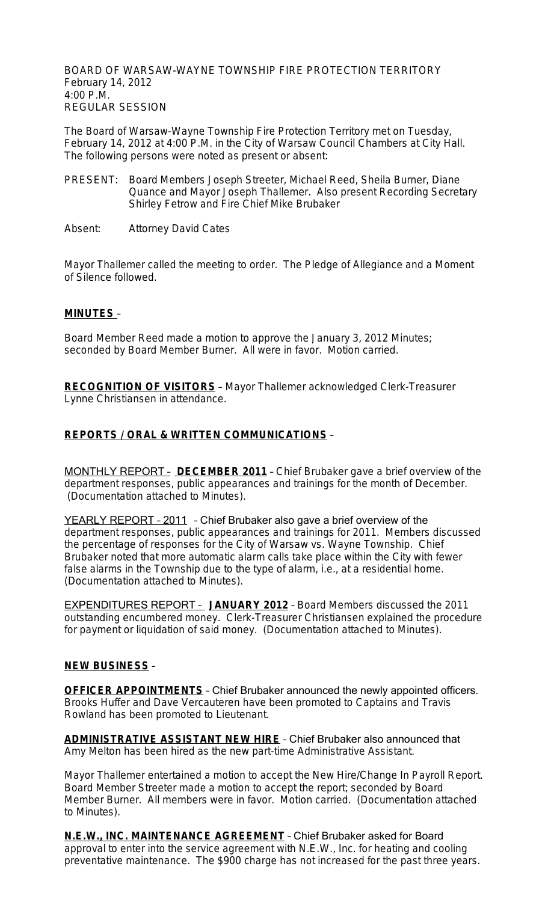BOARD OF WARSAW-WAYNE TOWNSHIP FIRE PROTECTION TERRITORY February 14, 2012 4:00 P.M. REGULAR SESSION

The Board of Warsaw-Wayne Township Fire Protection Territory met on Tuesday, February 14, 2012 at 4:00 P.M. in the City of Warsaw Council Chambers at City Hall. The following persons were noted as present or absent:

- PRESENT: Board Members Joseph Streeter, Michael Reed, Sheila Burner, Diane Quance and Mayor Joseph Thallemer. Also present Recording Secretary Shirley Fetrow and Fire Chief Mike Brubaker
- Absent: Attorney David Cates

Mayor Thallemer called the meeting to order. The Pledge of Allegiance and a Moment of Silence followed.

#### **MINUTES** –

Board Member Reed made a motion to approve the January 3, 2012 Minutes; seconded by Board Member Burner. All were in favor. Motion carried.

**RECOGNITION OF VISITORS** – Mayor Thallemer acknowledged Clerk-Treasurer Lynne Christiansen in attendance.

### **REPORTS / ORAL & WRITTEN COMMUNICATIONS** –

MONTHLY REPORT – **DECEMBER 2011** – Chief Brubaker gave a brief overview of the department responses, public appearances and trainings for the month of December. (Documentation attached to Minutes).

YEARLY REPORT – 2011 – Chief Brubaker also gave a brief overview of the department responses, public appearances and trainings for 2011. Members discussed the percentage of responses for the City of Warsaw vs. Wayne Township. Chief Brubaker noted that more automatic alarm calls take place within the City with fewer false alarms in the Township due to the type of alarm, i.e., at a residential home. (Documentation attached to Minutes).

EXPENDITURES REPORT – **JANUARY 2012** – Board Members discussed the 2011 outstanding encumbered money. Clerk-Treasurer Christiansen explained the procedure for payment or liquidation of said money. (Documentation attached to Minutes).

#### **NEW BUSINESS** –

**OFFICER APPOINTMENTS** – Chief Brubaker announced the newly appointed officers. Brooks Huffer and Dave Vercauteren have been promoted to Captains and Travis Rowland has been promoted to Lieutenant.

**ADMINISTRATIVE ASSISTANT NEW HIRE** – Chief Brubaker also announced that Amy Melton has been hired as the new part-time Administrative Assistant.

Mayor Thallemer entertained a motion to accept the New Hire/Change In Payroll Report. Board Member Streeter made a motion to accept the report; seconded by Board Member Burner. All members were in favor. Motion carried. (Documentation attached to Minutes).

**N.E.W., INC. MAINTENANCE AGREEMENT** – Chief Brubaker asked for Board approval to enter into the service agreement with N.E.W., Inc. for heating and cooling preventative maintenance. The \$900 charge has not increased for the past three years.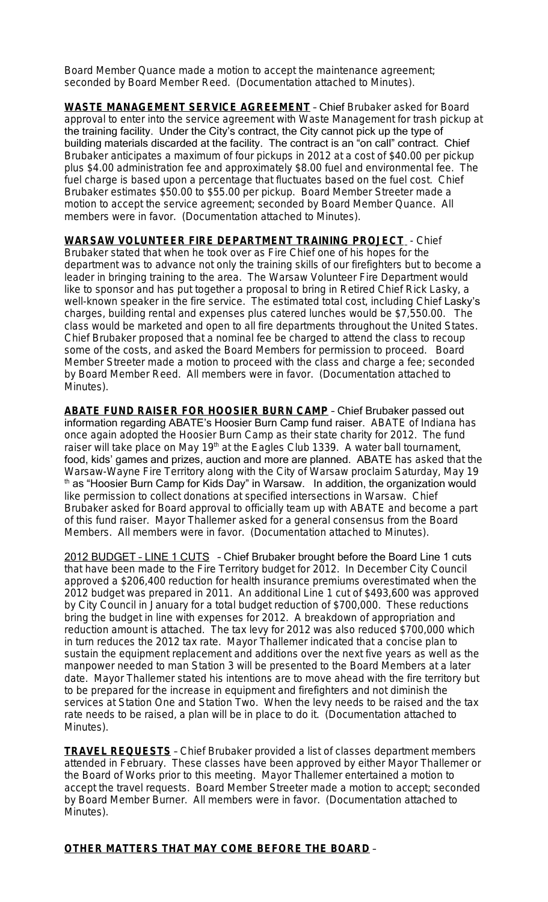Board Member Quance made a motion to accept the maintenance agreement; seconded by Board Member Reed. (Documentation attached to Minutes).

**WASTE MANAGEMENT SERVICE AGREEMENT** – Chief Brubaker asked for Board approval to enter into the service agreement with Waste Management for trash pickup at the training facility. Under the City's contract, the City cannot pick up the type of building materials discarded at the facility. The contract is an "on call" contract. Chief Brubaker anticipates a maximum of four pickups in 2012 at a cost of \$40.00 per pickup plus \$4.00 administration fee and approximately \$8.00 fuel and environmental fee. The fuel charge is based upon a percentage that fluctuates based on the fuel cost. Chief Brubaker estimates \$50.00 to \$55.00 per pickup. Board Member Streeter made a motion to accept the service agreement; seconded by Board Member Quance. All members were in favor. (Documentation attached to Minutes).

**WARSAW VOLUNTEER FIRE DEPARTMENT TRAINING PROJECT** - Chief Brubaker stated that when he took over as Fire Chief one of his hopes for the department was to advance not only the training skills of our firefighters but to become a leader in bringing training to the area. The Warsaw Volunteer Fire Department would like to sponsor and has put together a proposal to bring in Retired Chief Rick Lasky, a well-known speaker in the fire service. The estimated total cost, including Chief Lasky's charges, building rental and expenses plus catered lunches would be \$7,550.00. The class would be marketed and open to all fire departments throughout the United States. Chief Brubaker proposed that a nominal fee be charged to attend the class to recoup some of the costs, and asked the Board Members for permission to proceed. Board Member Streeter made a motion to proceed with the class and charge a fee; seconded by Board Member Reed. All members were in favor. (Documentation attached to Minutes).

**ABATE FUND RAISER FOR HOOSIER BURN CAMP** – Chief Brubaker passed out information regarding ABATE's Hoosier Burn Camp fund raiser. ABATE of Indiana has once again adopted the Hoosier Burn Camp as their state charity for 2012. The fund raiser will take place on May  $19<sup>th</sup>$  at the Eagles Club 1339. A water ball tournament, food, kids' games and prizes, auction and more are planned. ABATE has asked that the Warsaw-Wayne Fire Territory along with the City of Warsaw proclaim Saturday, May 19 th as "Hoosier Burn Camp for Kids Day" in Warsaw. In addition, the organization would like permission to collect donations at specified intersections in Warsaw. Chief Brubaker asked for Board approval to officially team up with ABATE and become a part of this fund raiser. Mayor Thallemer asked for a general consensus from the Board Members. All members were in favor. (Documentation attached to Minutes).

2012 BUDGET – LINE 1 CUTS – Chief Brubaker brought before the Board Line 1 cuts that have been made to the Fire Territory budget for 2012. In December City Council approved a \$206,400 reduction for health insurance premiums overestimated when the 2012 budget was prepared in 2011. An additional Line 1 cut of \$493,600 was approved by City Council in January for a total budget reduction of \$700,000. These reductions bring the budget in line with expenses for 2012. A breakdown of appropriation and reduction amount is attached. The tax levy for 2012 was also reduced \$700,000 which in turn reduces the 2012 tax rate. Mayor Thallemer indicated that a concise plan to sustain the equipment replacement and additions over the next five years as well as the manpower needed to man Station 3 will be presented to the Board Members at a later date. Mayor Thallemer stated his intentions are to move ahead with the fire territory but to be prepared for the increase in equipment and firefighters and not diminish the services at Station One and Station Two. When the levy needs to be raised and the tax rate needs to be raised, a plan will be in place to do it. (Documentation attached to Minutes).

**TRAVEL REQUESTS** – Chief Brubaker provided a list of classes department members attended in February. These classes have been approved by either Mayor Thallemer or the Board of Works prior to this meeting. Mayor Thallemer entertained a motion to accept the travel requests. Board Member Streeter made a motion to accept; seconded by Board Member Burner. All members were in favor. (Documentation attached to Minutes).

#### **OTHER MATTERS THAT MAY COME BEFORE THE BOARD** –